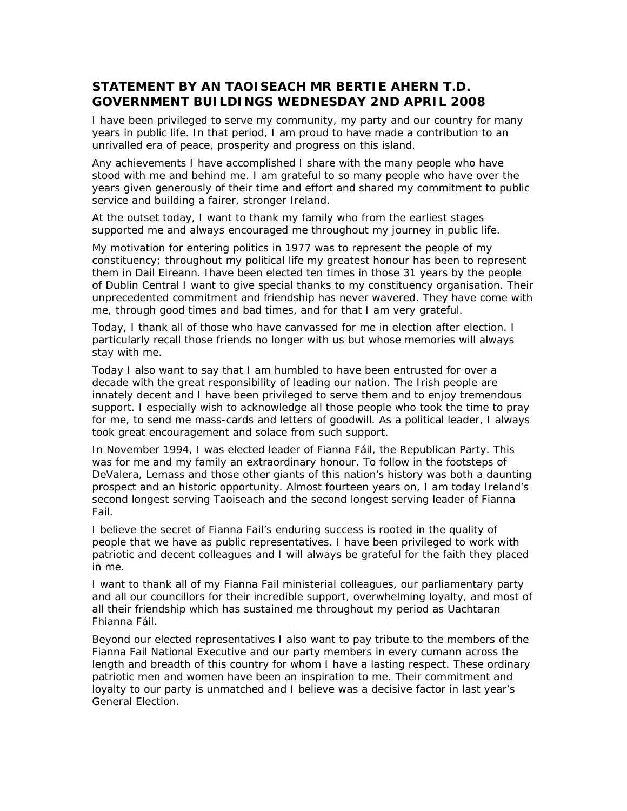## **STATEMENT BY AN TAOISEACH MR BERTIE AHERN T.D. GOVERNMENT BUILDINGS WEDNESDAY 2ND APRIL 2008**

I have been privileged to serve my community, my party and our country for many years in public life. In that period, I am proud to have made a contribution to an unrivalled era of peace, prosperity and progress on this island.

Any achievements I have accomplished I share with the many people who have stood with me and behind me. I am grateful to so many people who have over the years given generously of their time and effort and shared my commitment to public service and building a fairer, stronger Ireland.

At the outset today, I want to thank my family who from the earliest stages supported me and always encouraged me throughout my journey in public life.

My motivation for entering politics in 1977 was to represent the people of my constituency; throughout my political life my greatest honour has been to represent them in Dail Eireann. Ihave been elected ten times in those 31 years by the people of Dublin Central I want to give special thanks to my constituency organisation. Their unprecedented commitment and friendship has never wavered. They have come with me, through good times and bad times, and for that I am very grateful.

Today, I thank all of those who have canvassed for me in election after election. I particularly recall those friends no longer with us but whose memories will always stay with me.

Today I also want to say that I am humbled to have been entrusted for over a decade with the great responsibility of leading our nation. The Irish people are innately decent and I have been privileged to serve them and to enjoy tremendous support. I especially wish to acknowledge all those people who took the time to pray for me, to send me mass-cards and letters of goodwill. As a political leader, I always took great encouragement and solace from such support.

In November 1994, I was elected leader of Fianna Fáil, the Republican Party. This was for me and my family an extraordinary honour. To follow in the footsteps of DeValera, Lemass and those other giants of this nation's history was both a daunting prospect and an historic opportunity. Almost fourteen years on, I am today Ireland's second longest serving Taoiseach and the second longest serving leader of Fianna Fail.

I believe the secret of Fianna Fail's enduring success is rooted in the quality of people that we have as public representatives. I have been privileged to work with patriotic and decent colleagues and I will always be grateful for the faith they placed in me.

I want to thank all of my Fianna Fail ministerial colleagues, our parliamentary party and all our councillors for their incredible support, overwhelming loyalty, and most of all their friendship which has sustained me throughout my period as Uachtaran Fhianna Fáil.

Beyond our elected representatives I also want to pay tribute to the members of the Fianna Fail National Executive and our party members in every cumann across the length and breadth of this country for whom I have a lasting respect. These ordinary patriotic men and women have been an inspiration to me. Their commitment and loyalty to our party is unmatched and I believe was a decisive factor in last year's General Election.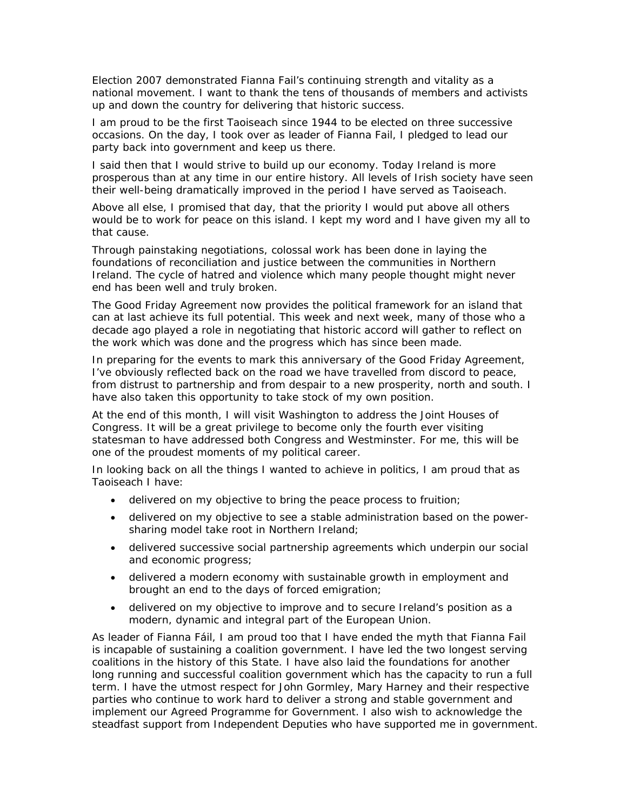Election 2007 demonstrated Fianna Fail's continuing strength and vitality as a national movement. I want to thank the tens of thousands of members and activists up and down the country for delivering that historic success.

I am proud to be the first Taoiseach since 1944 to be elected on three successive occasions. On the day, I took over as leader of Fianna Fail, I pledged to lead our party back into government and keep us there.

I said then that I would strive to build up our economy. Today Ireland is more prosperous than at any time in our entire history. All levels of Irish society have seen their well-being dramatically improved in the period I have served as Taoiseach.

Above all else, I promised that day, that the priority I would put above all others would be to work for peace on this island. I kept my word and I have given my all to that cause.

Through painstaking negotiations, colossal work has been done in laying the foundations of reconciliation and justice between the communities in Northern Ireland. The cycle of hatred and violence which many people thought might never end has been well and truly broken.

The Good Friday Agreement now provides the political framework for an island that can at last achieve its full potential. This week and next week, many of those who a decade ago played a role in negotiating that historic accord will gather to reflect on the work which was done and the progress which has since been made.

In preparing for the events to mark this anniversary of the Good Friday Agreement, I've obviously reflected back on the road we have travelled from discord to peace, from distrust to partnership and from despair to a new prosperity, north and south. I have also taken this opportunity to take stock of my own position.

At the end of this month, I will visit Washington to address the Joint Houses of Congress. It will be a great privilege to become only the fourth ever visiting statesman to have addressed both Congress and Westminster. For me, this will be one of the proudest moments of my political career.

In looking back on all the things I wanted to achieve in politics, I am proud that as Taoiseach I have:

- delivered on my objective to bring the peace process to fruition;
- delivered on my objective to see a stable administration based on the powersharing model take root in Northern Ireland;
- delivered successive social partnership agreements which underpin our social and economic progress;
- delivered a modern economy with sustainable growth in employment and brought an end to the days of forced emigration;
- delivered on my objective to improve and to secure Ireland's position as a modern, dynamic and integral part of the European Union.

As leader of Fianna Fáil, I am proud too that I have ended the myth that Fianna Fail is incapable of sustaining a coalition government. I have led the two longest serving coalitions in the history of this State. I have also laid the foundations for another long running and successful coalition government which has the capacity to run a full term. I have the utmost respect for John Gormley, Mary Harney and their respective parties who continue to work hard to deliver a strong and stable government and implement our Agreed Programme for Government. I also wish to acknowledge the steadfast support from Independent Deputies who have supported me in government.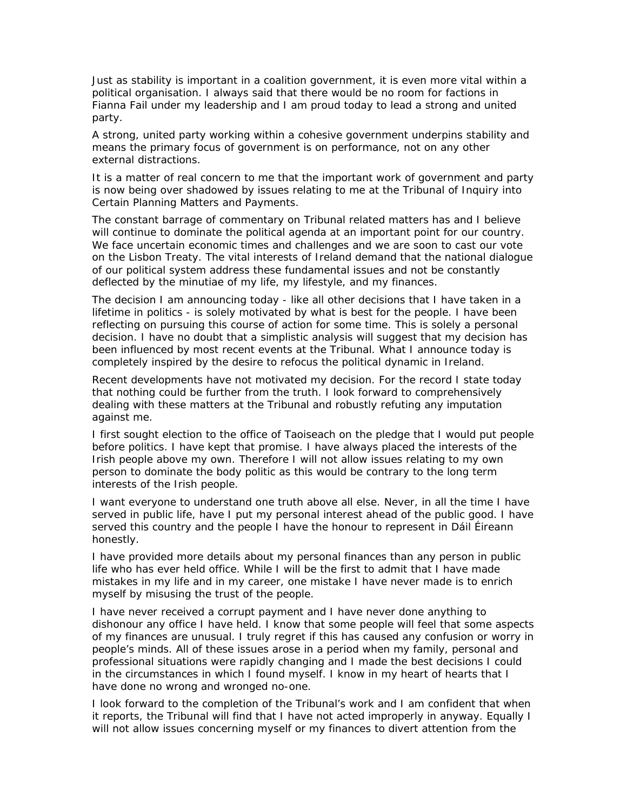Just as stability is important in a coalition government, it is even more vital within a political organisation. I always said that there would be no room for factions in Fianna Fail under my leadership and I am proud today to lead a strong and united party.

A strong, united party working within a cohesive government underpins stability and means the primary focus of government is on performance, not on any other external distractions.

It is a matter of real concern to me that the important work of government and party is now being over shadowed by issues relating to me at the Tribunal of Inquiry into Certain Planning Matters and Payments.

The constant barrage of commentary on Tribunal related matters has and I believe will continue to dominate the political agenda at an important point for our country. We face uncertain economic times and challenges and we are soon to cast our vote on the Lisbon Treaty. The vital interests of Ireland demand that the national dialogue of our political system address these fundamental issues and not be constantly deflected by the minutiae of my life, my lifestyle, and my finances.

The decision I am announcing today - like all other decisions that I have taken in a lifetime in politics - is solely motivated by what is best for the people. I have been reflecting on pursuing this course of action for some time. This is solely a personal decision. I have no doubt that a simplistic analysis will suggest that my decision has been influenced by most recent events at the Tribunal. What I announce today is completely inspired by the desire to refocus the political dynamic in Ireland.

Recent developments have not motivated my decision. For the record I state today that nothing could be further from the truth. I look forward to comprehensively dealing with these matters at the Tribunal and robustly refuting any imputation against me.

I first sought election to the office of Taoiseach on the pledge that I would put people before politics. I have kept that promise. I have always placed the interests of the Irish people above my own. Therefore I will not allow issues relating to my own person to dominate the body politic as this would be contrary to the long term interests of the Irish people.

I want everyone to understand one truth above all else. Never, in all the time I have served in public life, have I put my personal interest ahead of the public good. I have served this country and the people I have the honour to represent in Dáil Éireann honestly.

I have provided more details about my personal finances than any person in public life who has ever held office. While I will be the first to admit that I have made mistakes in my life and in my career, one mistake I have never made is to enrich myself by misusing the trust of the people.

I have never received a corrupt payment and I have never done anything to dishonour any office I have held. I know that some people will feel that some aspects of my finances are unusual. I truly regret if this has caused any confusion or worry in people's minds. All of these issues arose in a period when my family, personal and professional situations were rapidly changing and I made the best decisions I could in the circumstances in which I found myself. I know in my heart of hearts that I have done no wrong and wronged no-one.

I look forward to the completion of the Tribunal's work and I am confident that when it reports, the Tribunal will find that I have not acted improperly in anyway. Equally I will not allow issues concerning myself or my finances to divert attention from the